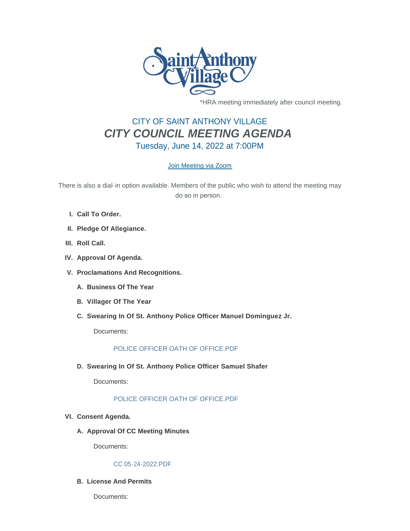

\*HRA meeting immediately after council meeting.

# CITY OF SAINT ANTHONY VILLAGE *CITY COUNCIL MEETING AGENDA* Tuesday, June 14, 2022 at 7:00PM

# [Join Meeting via Zoom](https://www.savmn.com/Calendar.aspx?EID=1574)

There is also a dial-in option available. Members of the public who wish to attend the meeting may do so in person.

- **Call To Order. I.**
- **Pledge Of Allegiance. II.**
- III. Roll Call.
- **Approval Of Agenda. IV.**
- **Proclamations And Recognitions. V.**
	- **Business Of The Year A.**
	- **Villager Of The Year B.**
	- **Swearing In Of St. Anthony Police Officer Manuel Dominguez Jr. C.**

Documents:

# [POLICE OFFICER OATH OF OFFICE.PDF](http://www.savmn.com/AgendaCenter/ViewFile/Item/1043?fileID=7038)

**Swearing In Of St. Anthony Police Officer Samuel Shafer D.**

Documents:

# [POLICE OFFICER OATH OF OFFICE.PDF](http://www.savmn.com/AgendaCenter/ViewFile/Item/1044?fileID=7039)

- **Consent Agenda. VI.**
	- A. Approval Of CC Meeting Minutes

Documents:

#### [CC 05-24-2022.PDF](http://www.savmn.com/AgendaCenter/ViewFile/Item/1048?fileID=7041)

## **License And Permits B.**

Documents: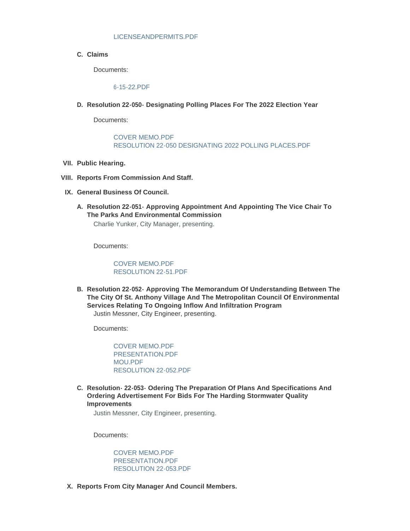#### [LICENSEANDPERMITS.PDF](http://www.savmn.com/AgendaCenter/ViewFile/Item/1047?fileID=7042)

**Claims C.**

Documents:

[6-15-22.PDF](http://www.savmn.com/AgendaCenter/ViewFile/Item/1046?fileID=7047)

**Resolution 22-050- Designating Polling Places For The 2022 Election Year D.**

Documents:

#### [COVER MEMO.PDF](http://www.savmn.com/AgendaCenter/ViewFile/Item/1057?fileID=7051) [RESOLUTION 22-050 DESIGNATING 2022 POLLING PLACES.PDF](http://www.savmn.com/AgendaCenter/ViewFile/Item/1057?fileID=7071)

- **Public Hearing. VII.**
- **Reports From Commission And Staff. VIII.**
- **General Business Of Council. IX.**
	- **Resolution 22-051- Approving Appointment And Appointing The Vice Chair To A. The Parks And Environmental Commission** Charlie Yunker, City Manager, presenting.

Documents:

#### [COVER MEMO.PDF](http://www.savmn.com/AgendaCenter/ViewFile/Item/1073?fileID=7057) [RESOLUTION 22-51.PDF](http://www.savmn.com/AgendaCenter/ViewFile/Item/1073?fileID=7058)

**Resolution 22-052- Approving The Memorandum Of Understanding Between The B. The City Of St. Anthony Village And The Metropolitan Council Of Environmental Services Relating To Ongoing Inflow And Infiltration Program** Justin Messner, City Engineer, presenting.

Documents:

[COVER MEMO.PDF](http://www.savmn.com/AgendaCenter/ViewFile/Item/1076?fileID=7053) [PRESENTATION.PDF](http://www.savmn.com/AgendaCenter/ViewFile/Item/1076?fileID=7054) [MOU.PDF](http://www.savmn.com/AgendaCenter/ViewFile/Item/1076?fileID=7055) [RESOLUTION 22-052.PDF](http://www.savmn.com/AgendaCenter/ViewFile/Item/1076?fileID=7069)

**Resolution- 22-053- Odering The Preparation Of Plans And Specifications And C. Ordering Advertisement For Bids For The Harding Stormwater Quality Improvements**

Justin Messner, City Engineer, presenting.

Documents:

[COVER MEMO.PDF](http://www.savmn.com/AgendaCenter/ViewFile/Item/1075?fileID=7063) [PRESENTATION.PDF](http://www.savmn.com/AgendaCenter/ViewFile/Item/1075?fileID=7064) [RESOLUTION 22-053.PDF](http://www.savmn.com/AgendaCenter/ViewFile/Item/1075?fileID=7070)

**Reports From City Manager And Council Members. X.**